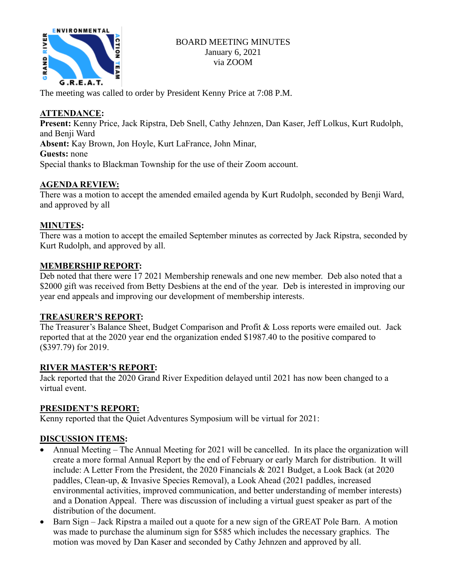

The meeting was called to order by President Kenny Price at 7:08 P.M.

# **ATTENDANCE:**

**Present:** Kenny Price, Jack Ripstra, Deb Snell, Cathy Jehnzen, Dan Kaser, Jeff Lolkus, Kurt Rudolph, and Benji Ward **Absent:** Kay Brown, Jon Hoyle, Kurt LaFrance, John Minar, **Guests:** none Special thanks to Blackman Township for the use of their Zoom account.

## **AGENDA REVIEW:**

There was a motion to accept the amended emailed agenda by Kurt Rudolph, seconded by Benji Ward, and approved by all

### **MINUTES:**

There was a motion to accept the emailed September minutes as corrected by Jack Ripstra, seconded by Kurt Rudolph, and approved by all.

### **MEMBERSHIP REPORT:**

Deb noted that there were 17 2021 Membership renewals and one new member. Deb also noted that a \$2000 gift was received from Betty Desbiens at the end of the year. Deb is interested in improving our year end appeals and improving our development of membership interests.

### **TREASURER'S REPORT:**

The Treasurer's Balance Sheet, Budget Comparison and Profit & Loss reports were emailed out. Jack reported that at the 2020 year end the organization ended \$1987.40 to the positive compared to (\$397.79) for 2019.

### **RIVER MASTER'S REPORT:**

Jack reported that the 2020 Grand River Expedition delayed until 2021 has now been changed to a virtual event.

### **PRESIDENT'S REPORT:**

Kenny reported that the Quiet Adventures Symposium will be virtual for 2021:

### **DISCUSSION ITEMS:**

- Annual Meeting The Annual Meeting for 2021 will be cancelled. In its place the organization will create a more formal Annual Report by the end of February or early March for distribution. It will include: A Letter From the President, the 2020 Financials & 2021 Budget, a Look Back (at 2020 paddles, Clean-up, & Invasive Species Removal), a Look Ahead (2021 paddles, increased environmental activities, improved communication, and better understanding of member interests) and a Donation Appeal. There was discussion of including a virtual guest speaker as part of the distribution of the document.
- Barn Sign Jack Ripstra a mailed out a quote for a new sign of the GREAT Pole Barn. A motion was made to purchase the aluminum sign for \$585 which includes the necessary graphics. The motion was moved by Dan Kaser and seconded by Cathy Jehnzen and approved by all.